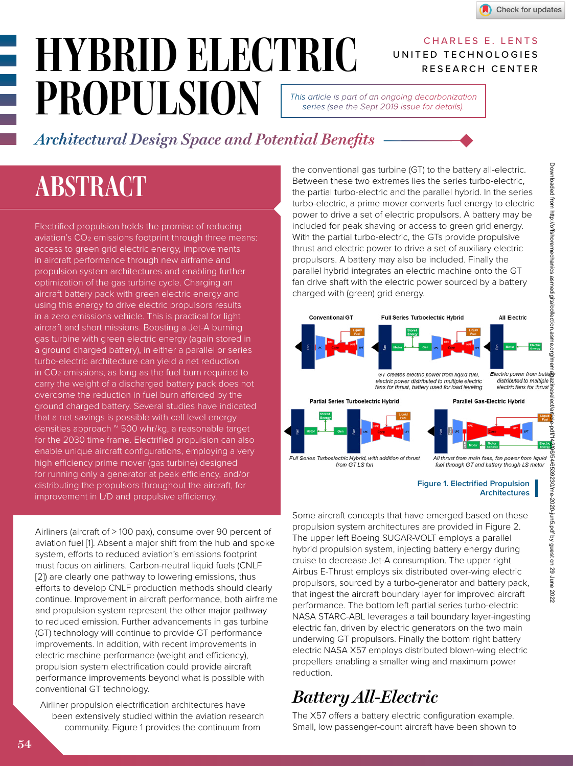CHARLES E. LENTS

RESEARCH CENTER

UNITED TECHNOLOGIES

# *HYBRID ELECTRIC PROPULSION*

*This article is part of an ongoing decarbonization series (see the Sept 2019 issue for details).*

*Architectural Design Space and Potential Benefits*

## *ABSTRACT*

Electrified propulsion holds the promise of reducing aviation's CO<sub>2</sub> emissions footprint through three means: access to green grid electric energy, improvements in aircraft performance through new airframe and propulsion system architectures and enabling further optimization of the gas turbine cycle. Charging an aircraft battery pack with green electric energy and using this energy to drive electric propulsors results in a zero emissions vehicle. This is practical for light aircraft and short missions. Boosting a Jet-A burning gas turbine with green electric energy (again stored in a ground charged battery), in either a parallel or series turbo-electric architecture can yield a net reduction in CO2 emissions, as long as the fuel burn required to carry the weight of a discharged battery pack does not overcome the reduction in fuel burn afforded by the ground charged battery. Several studies have indicated that a net savings is possible with cell level energy densities approach ~ 500 whr/kg, a reasonable target for the 2030 time frame. Electrified propulsion can also enable unique aircraft configurations, employing a very high efficiency prime mover (gas turbine) designed for running only a generator at peak efficiency, and/or distributing the propulsors throughout the aircraft, for improvement in L/D and propulsive efficiency.

Airliners (aircraft of > 100 pax), consume over 90 percent of aviation fuel [1]. Absent a major shift from the hub and spoke system, efforts to reduced aviation's emissions footprint must focus on airliners. Carbon-neutral liquid fuels (CNLF [2]) are clearly one pathway to lowering emissions, thus efforts to develop CNLF production methods should clearly continue. Improvement in aircraft performance, both airframe and propulsion system represent the other major pathway to reduced emission. Further advancements in gas turbine (GT) technology will continue to provide GT performance improvements. In addition, with recent improvements in electric machine performance (weight and efficiency), propulsion system electrification could provide aircraft performance improvements beyond what is possible with conventional GT technology.

Airliner propulsion electrification architectures have been extensively studied within the aviation research community. Figure 1 provides the continuum from

the conventional gas turbine (GT) to the battery all-electric. Between these two extremes lies the series turbo-electric, the partial turbo-electric and the parallel hybrid. In the series turbo-electric, a prime mover converts fuel energy to electric power to drive a set of electric propulsors. A battery may be included for peak shaving or access to green grid energy. With the partial turbo-electric, the GTs provide propulsive thrust and electric power to drive a set of auxiliary electric propulsors. A battery may also be included. Finally the parallel hybrid integrates an electric machine onto the GT fan drive shaft with the electric power sourced by a battery charged with (green) grid energy.



#### **Figure 1. Electrified Propulsion Architectures**

Some aircraft concepts that have emerged based on these propulsion system architectures are provided in Figure 2. The upper left Boeing SUGAR-VOLT employs a parallel hybrid propulsion system, injecting battery energy during cruise to decrease Jet-A consumption. The upper right Airbus E-Thrust employs six distributed over-wing electric propulsors, sourced by a turbo-generator and battery pack, that ingest the aircraft boundary layer for improved aircraft performance. The bottom left partial series turbo-electric NASA STARC-ABL leverages a tail boundary layer-ingesting electric fan, driven by electric generators on the two main underwing GT propulsors. Finally the bottom right battery electric NASA X57 employs distributed blown-wing electric propellers enabling a smaller wing and maximum power reduction.

### *Battery All-Electric*

The X57 offers a battery electric configuration example. Small, low passenger-count aircraft have been shown to